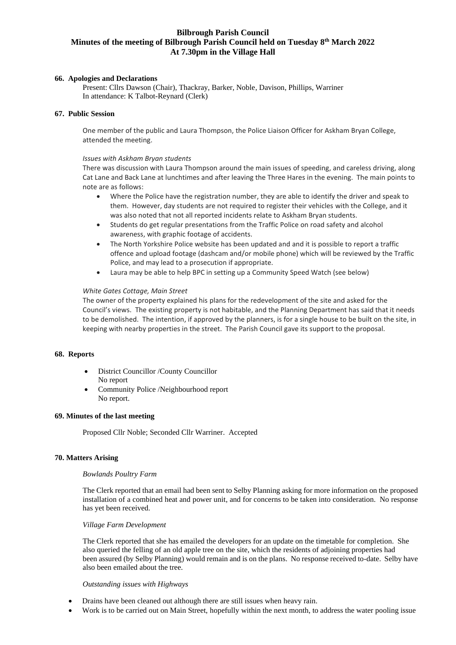# **Bilbrough Parish Council Minutes of the meeting of Bilbrough Parish Council held on Tuesday 8 th March 2022 At 7.30pm in the Village Hall**

## **66. Apologies and Declarations**

Present: Cllrs Dawson (Chair), Thackray, Barker, Noble, Davison, Phillips, Warriner In attendance: K Talbot-Reynard (Clerk)

## **67. Public Session**

One member of the public and Laura Thompson, the Police Liaison Officer for Askham Bryan College, attended the meeting.

## *Issues with Askham Bryan students*

There was discussion with Laura Thompson around the main issues of speeding, and careless driving, along Cat Lane and Back Lane at lunchtimes and after leaving the Three Hares in the evening. The main points to note are as follows:

- Where the Police have the registration number, they are able to identify the driver and speak to them. However, day students are not required to register their vehicles with the College, and it was also noted that not all reported incidents relate to Askham Bryan students.
- Students do get regular presentations from the Traffic Police on road safety and alcohol awareness, with graphic footage of accidents.
- The North Yorkshire Police website has been updated and and it is possible to report a traffic offence and upload footage (dashcam and/or mobile phone) which will be reviewed by the Traffic Police, and may lead to a prosecution if appropriate.
- Laura may be able to help BPC in setting up a Community Speed Watch (see below)

### *White Gates Cottage, Main Street*

The owner of the property explained his plans for the redevelopment of the site and asked for the Council's views. The existing property is not habitable, and the Planning Department has said that it needs to be demolished. The intention, if approved by the planners, is for a single house to be built on the site, in keeping with nearby properties in the street. The Parish Council gave its support to the proposal.

#### **68. Reports**

- District Councillor /County Councillor No report
- Community Police /Neighbourhood report No report.

# **69. Minutes of the last meeting**

Proposed Cllr Noble; Seconded Cllr Warriner. Accepted

## **70. Matters Arising**

#### *Bowlands Poultry Farm*

The Clerk reported that an email had been sent to Selby Planning asking for more information on the proposed installation of a combined heat and power unit, and for concerns to be taken into consideration. No response has yet been received*.*

### *Village Farm Development*

The Clerk reported that she has emailed the developers for an update on the timetable for completion. She also queried the felling of an old apple tree on the site, which the residents of adjoining properties had been assured (by Selby Planning) would remain and is on the plans. No response received to-date. Selby have also been emailed about the tree.

#### *Outstanding issues with Highways*

- Drains have been cleaned out although there are still issues when heavy rain.
- Work is to be carried out on Main Street, hopefully within the next month, to address the water pooling issue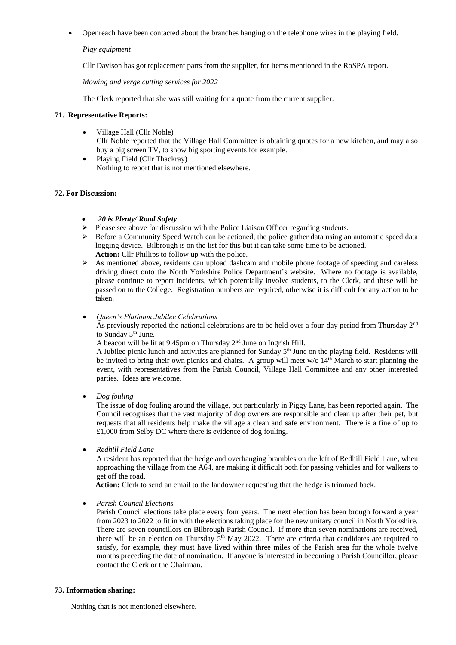• Openreach have been contacted about the branches hanging on the telephone wires in the playing field.

## *Play equipment*

Cllr Davison has got replacement parts from the supplier, for items mentioned in the RoSPA report.

*Mowing and verge cutting services for 2022*

The Clerk reported that she was still waiting for a quote from the current supplier.

## **71. Representative Reports:**

- Village Hall (Cllr Noble) Cllr Noble reported that the Village Hall Committee is obtaining quotes for a new kitchen, and may also buy a big screen TV, to show big sporting events for example.
- Playing Field (Cllr Thackray) Nothing to report that is not mentioned elsewhere.

### **72. For Discussion:**

## • *20 is Plenty/ Road Safety*

- ➢ Please see above for discussion with the Police Liaison Officer regarding students.
- $\triangleright$  Before a Community Speed Watch can be actioned, the police gather data using an automatic speed data logging device. Bilbrough is on the list for this but it can take some time to be actioned. **Action:** Cllr Phillips to follow up with the police.
- $\triangleright$  As mentioned above, residents can upload dashcam and mobile phone footage of speeding and careless driving direct onto the North Yorkshire Police Department's website. Where no footage is available, please continue to report incidents, which potentially involve students, to the Clerk, and these will be passed on to the College. Registration numbers are required, otherwise it is difficult for any action to be taken.
- *Queen's Platinum Jubilee Celebrations*

As previously reported the national celebrations are to be held over a four-day period from Thursday 2<sup>nd</sup> to Sunday 5<sup>th</sup> June.

A beacon will be lit at 9.45pm on Thursday 2nd June on Ingrish Hill.

A Jubilee picnic lunch and activities are planned for Sunday  $5<sup>th</sup>$  June on the playing field. Residents will be invited to bring their own picnics and chairs. A group will meet w/c  $14<sup>th</sup>$  March to start planning the event, with representatives from the Parish Council, Village Hall Committee and any other interested parties. Ideas are welcome.

• *Dog fouling*

The issue of dog fouling around the village, but particularly in Piggy Lane, has been reported again. The Council recognises that the vast majority of dog owners are responsible and clean up after their pet, but requests that all residents help make the village a clean and safe environment. There is a fine of up to £1,000 from Selby DC where there is evidence of dog fouling.

• *Redhill Field Lane*

A resident has reported that the hedge and overhanging brambles on the left of Redhill Field Lane, when approaching the village from the A64, are making it difficult both for passing vehicles and for walkers to get off the road.

**Action:** Clerk to send an email to the landowner requesting that the hedge is trimmed back.

• *Parish Council Elections*

Parish Council elections take place every four years. The next election has been brough forward a year from 2023 to 2022 to fit in with the elections taking place for the new unitary council in North Yorkshire. There are seven councillors on Bilbrough Parish Council. If more than seven nominations are received, there will be an election on Thursday  $5<sup>th</sup>$  May 2022. There are criteria that candidates are required to satisfy, for example, they must have lived within three miles of the Parish area for the whole twelve months preceding the date of nomination. If anyone is interested in becoming a Parish Councillor, please contact the Clerk or the Chairman.

# **73. Information sharing:**

Nothing that is not mentioned elsewhere.